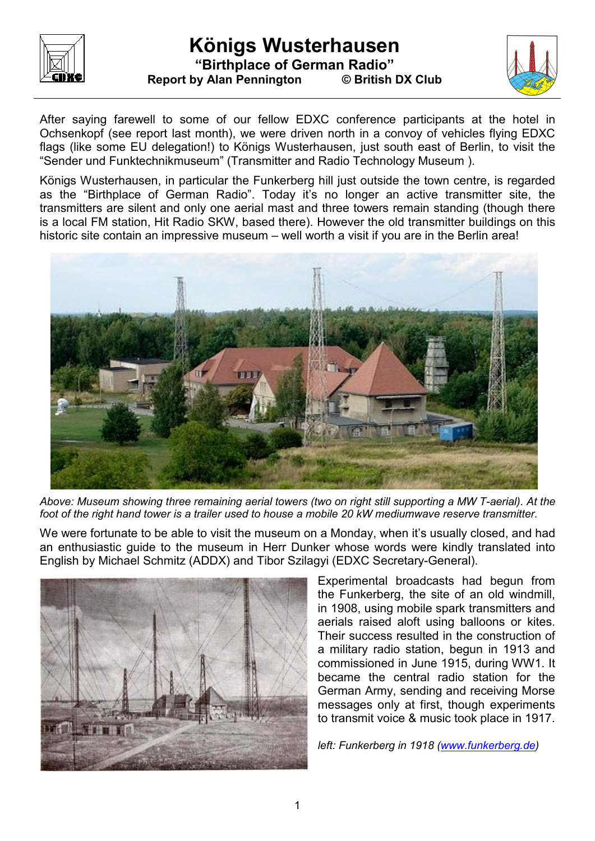

## **Königs Wusterhausen "Birthplace of German Radio" Report by Alan Pennington © British DX Club**



After saying farewell to some of our fellow EDXC conference participants at the hotel in Ochsenkopf (see report last month), we were driven north in a convoy of vehicles flying EDXC flags (like some EU delegation!) to Königs Wusterhausen, just south east of Berlin, to visit the "Sender und Funktechnikmuseum" (Transmitter and Radio Technology Museum ).

Königs Wusterhausen, in particular the Funkerberg hill just outside the town centre, is regarded as the "Birthplace of German Radio". Today it's no longer an active transmitter site, the transmitters are silent and only one aerial mast and three towers remain standing (though there is a local FM station, Hit Radio SKW, based there). However the old transmitter buildings on this historic site contain an impressive museum – well worth a visit if you are in the Berlin area!



*Above: Museum showing three remaining aerial towers (two on right still supporting a MW T-aerial). At the foot of the right hand tower is a trailer used to house a mobile 20 kW mediumwave reserve transmitter.*

We were fortunate to be able to visit the museum on a Monday, when it's usually closed, and had an enthusiastic guide to the museum in Herr Dunker whose words were kindly translated into English by Michael Schmitz (ADDX) and Tibor Szilagyi (EDXC Secretary-General).



Experimental broadcasts had begun from the Funkerberg, the site of an old windmill, in 1908, using mobile spark transmitters and aerials raised aloft using balloons or kites. Their success resulted in the construction of a military radio station, begun in 1913 and commissioned in June 1915, during WW1. It became the central radio station for the German Army, sending and receiving Morse messages only at first, though experiments to transmit voice & music took place in 1917.

*left: Funkerberg in 1918 (www.funkerberg.de)*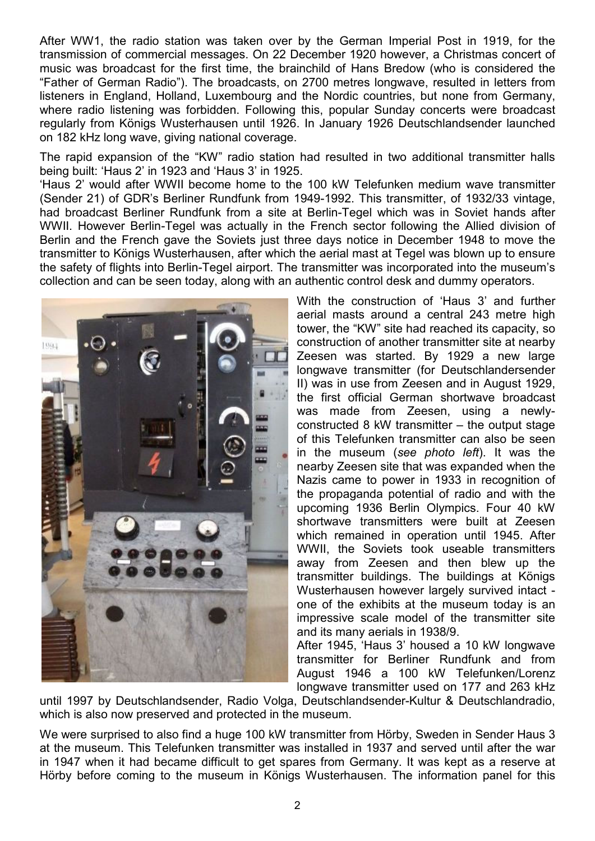After WW1, the radio station was taken over by the German Imperial Post in 1919, for the transmission of commercial messages. On 22 December 1920 however, a Christmas concert of music was broadcast for the first time, the brainchild of Hans Bredow (who is considered the "Father of German Radio"). The broadcasts, on 2700 metres longwave, resulted in letters from listeners in England, Holland, Luxembourg and the Nordic countries, but none from Germany, where radio listening was forbidden. Following this, popular Sunday concerts were broadcast regularly from Königs Wusterhausen until 1926. In January 1926 Deutschlandsender launched on 182 kHz long wave, giving national coverage.

The rapid expansion of the "KW" radio station had resulted in two additional transmitter halls being built: 'Haus 2' in 1923 and 'Haus 3' in 1925.

'Haus 2' would after WWII become home to the 100 kW Telefunken medium wave transmitter (Sender 21) of GDR's Berliner Rundfunk from 1949-1992. This transmitter, of 1932/33 vintage, had broadcast Berliner Rundfunk from a site at Berlin-Tegel which was in Soviet hands after WWII. However Berlin-Tegel was actually in the French sector following the Allied division of Berlin and the French gave the Soviets just three days notice in December 1948 to move the transmitter to Königs Wusterhausen, after which the aerial mast at Tegel was blown up to ensure the safety of flights into Berlin-Tegel airport. The transmitter was incorporated into the museum's collection and can be seen today, along with an authentic control desk and dummy operators.



With the construction of 'Haus 3' and further aerial masts around a central 243 metre high tower, the "KW" site had reached its capacity, so construction of another transmitter site at nearby Zeesen was started. By 1929 a new large longwave transmitter (for Deutschlandersender II) was in use from Zeesen and in August 1929, the first official German shortwave broadcast was made from Zeesen, using a newlyconstructed 8 kW transmitter – the output stage of this Telefunken transmitter can also be seen in the museum (*see photo left*). It was the nearby Zeesen site that was expanded when the Nazis came to power in 1933 in recognition of the propaganda potential of radio and with the upcoming 1936 Berlin Olympics. Four 40 kW shortwave transmitters were built at Zeesen which remained in operation until 1945. After WWII, the Soviets took useable transmitters away from Zeesen and then blew up the transmitter buildings. The buildings at Königs Wusterhausen however largely survived intact one of the exhibits at the museum today is an impressive scale model of the transmitter site and its many aerials in 1938/9.

After 1945, 'Haus 3' housed a 10 kW longwave transmitter for Berliner Rundfunk and from August 1946 a 100 kW Telefunken/Lorenz longwave transmitter used on 177 and 263 kHz

until 1997 by Deutschlandsender, Radio Volga, Deutschlandsender-Kultur & Deutschlandradio, which is also now preserved and protected in the museum.

We were surprised to also find a huge 100 kW transmitter from Hörby, Sweden in Sender Haus 3 at the museum. This Telefunken transmitter was installed in 1937 and served until after the war in 1947 when it had became difficult to get spares from Germany. It was kept as a reserve at Hörby before coming to the museum in Königs Wusterhausen. The information panel for this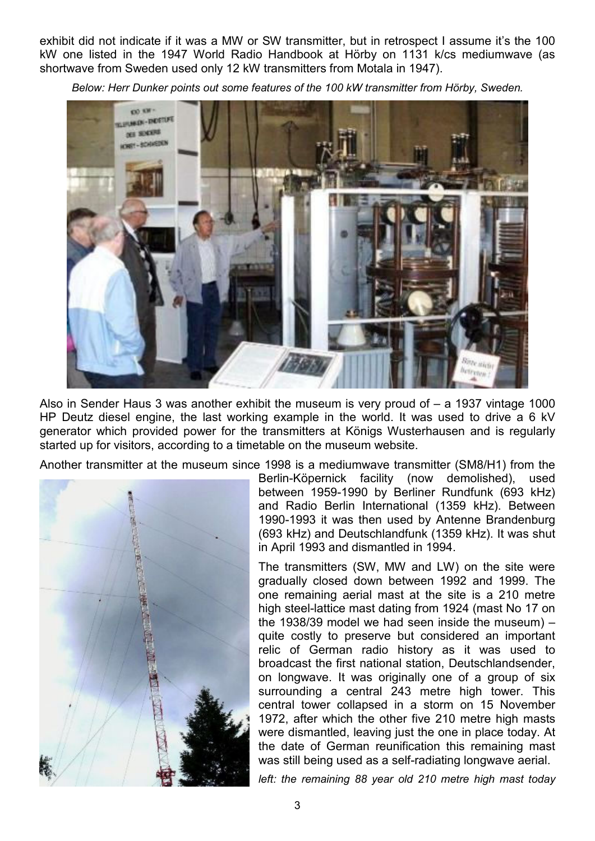exhibit did not indicate if it was a MW or SW transmitter, but in retrospect I assume it's the 100 kW one listed in the 1947 World Radio Handbook at Hörby on 1131 k/cs mediumwave (as shortwave from Sweden used only 12 kW transmitters from Motala in 1947).

*Below: Herr Dunker points out some features of the 100 kW transmitter from Hörby, Sweden.* 



Also in Sender Haus 3 was another exhibit the museum is very proud of – a 1937 vintage 1000 HP Deutz diesel engine, the last working example in the world. It was used to drive a 6 kV generator which provided power for the transmitters at Königs Wusterhausen and is regularly started up for visitors, according to a timetable on the museum website.

Another transmitter at the museum since 1998 is a mediumwave transmitter (SM8/H1) from the



Berlin-Köpernick facility (now demolished), used between 1959-1990 by Berliner Rundfunk (693 kHz) and Radio Berlin International (1359 kHz). Between 1990-1993 it was then used by Antenne Brandenburg (693 kHz) and Deutschlandfunk (1359 kHz). It was shut in April 1993 and dismantled in 1994.

The transmitters (SW, MW and LW) on the site were gradually closed down between 1992 and 1999. The one remaining aerial mast at the site is a 210 metre high steel-lattice mast dating from 1924 (mast No 17 on the 1938/39 model we had seen inside the museum) – quite costly to preserve but considered an important relic of German radio history as it was used to broadcast the first national station, Deutschlandsender, on longwave. It was originally one of a group of six surrounding a central 243 metre high tower. This central tower collapsed in a storm on 15 November 1972, after which the other five 210 metre high masts were dismantled, leaving just the one in place today. At the date of German reunification this remaining mast was still being used as a self-radiating longwave aerial.

*left: the remaining 88 year old 210 metre high mast today*